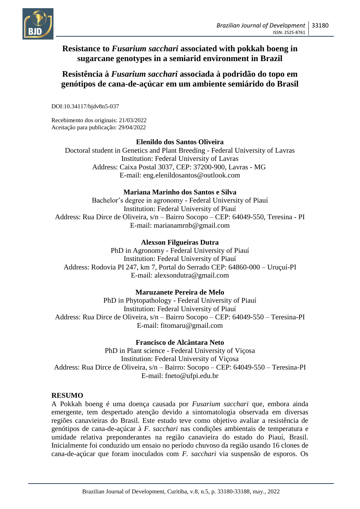

## **Resistance to** *Fusarium sacchari* **associated with pokkah boeng in sugarcane genotypes in a semiarid environment in Brazil**

## **Resistência à** *Fusarium sacchari* **associada à podridão do topo em genótipos de cana-de-açúcar em um ambiente semiárido do Brasil**

DOI:10.34117/bjdv8n5-037

Recebimento dos originais: 21/03/2022 Aceitação para publicação: 29/04/2022

### **Elenildo dos Santos Oliveira**

Doctoral student in Genetics and Plant Breeding - Federal University of Lavras Institution: Federal University of Lavras Address: Caixa Postal 3037, CEP: 37200-900, Lavras - MG E-mail: [eng.elenildosantos@outlook.com](mailto:eng.elenildosantos@outlook.com)

### **Mariana Marinho dos Santos e Silva**

Bachelor's degree in agronomy - Federal University of Piauí Institution: Federal University of Piauí Address: Rua Dirce de Oliveira, s/n – Bairro Socopo – CEP: 64049-550, Teresina - PI E-mail: [marianamrnb@gmail.com](mailto:marianamrnb@gmail.com)

### **Alexson Filgueiras Dutra**

PhD in Agronomy - Federal University of Piauí Institution: Federal University of Piauí Address: Rodovia PI 247, km 7, Portal do Serrado CEP: 64860-000 – Uruçuí-PI E-mail: [alexsondutra@gmail.com](mailto:alexsondutra@gmail.com)

### **Maruzanete Pereira de Melo**

PhD in Phytopathology - Federal University of Piauí Institution: Federal University of Piauí Address: Rua Dirce de Oliveira, s/n – Bairro Socopo – CEP: 64049-550 – Teresina-PI E-mail: [fitomaru@gmail.com](mailto:fitomaru@gmail.com)

### **Francisco de Alcântara Neto**

PhD in Plant science - Federal University of Viçosa Institution: Federal University of Viçosa Address: Rua Dirce de Oliveira, s/n – Bairro: Socopo – CEP: 64049-550 – Teresina-PI E-mail: [fneto@ufpi.edu.br](mailto:fneto@ufpi.edu.br)

### **RESUMO**

A Pokkah boeng é uma doença causada por *Fusarium sacchari* que, embora ainda emergente, tem despertado atenção devido a sintomatologia observada em diversas regiões canavieiras do Brasil. Este estudo teve como objetivo avaliar a resistência de genótipos de cana-de-açúcar à *F. sacchari* nas condições ambientais de temperatura e umidade relativa preponderantes na região canavieira do estado do Piauí, Brasil. Inicialmente foi conduzido um ensaio no período chuvoso da região usando 16 clones de cana-de-açúcar que foram inoculados com *F. sacchari* via suspensão de esporos. Os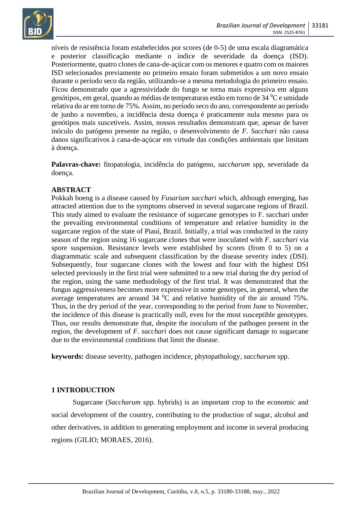

níveis de resistência foram estabelecidos por scores (de 0-5) de uma escala diagramática e posterior classificação mediante o índice de severidade da doença (ISD). Posteriormente, quatro clones de cana-de-açúcar com os menores e quatro com os maiores ISD selecionados previamente no primeiro ensaio foram submetidos a um novo ensaio durante o período seco da região, utilizando-se a mesma metodologia do primeiro ensaio. Ficou demonstrado que a agressividade do fungo se torna mais expressiva em alguns genótipos, em geral, quando as médias de temperaturas estão em torno de 34 <sup>0</sup>C e umidade relativa do ar em torno de 75%. Assim, no período seco do ano, correspondente ao período de junho a novembro, a incidência desta doença é praticamente nula mesmo para os genótipos mais suscetíveis. Assim, nossos resultados demonstram que, apesar de haver inóculo do patógeno presente na região, o desenvolvimento de *F. Sacchari* não causa danos significativos à cana-de-açúcar em virtude das condições ambientais que limitam à doença.

**Palavras-chave:** fitopatologia, incidência do patógeno, *saccharum* spp, severidade da doença.

### **ABSTRACT**

Pokkah boeng is a disease caused by *Fusarium sacchari* which, although emerging, has attracted attention due to the symptoms observed in several sugarcane regions of Brazil. This study aimed to evaluate the resistance of sugarcane genotypes to F. sacchari under the prevailing environmental conditions of temperature and relative humidity in the sugarcane region of the state of Piauí, Brazil. Initially, a trial was conducted in the rainy season of the region using 16 sugarcane clones that were inoculated with *F. sacchari* via spore suspension. Resistance levels were established by scores (from 0 to 5) on a diagrammatic scale and subsequent classification by the disease severity index (DSI). Subsequently, four sugarcane clones with the lowest and four with the highest DSI selected previously in the first trial were submitted to a new trial during the dry period of the region, using the same methodology of the first trial. It was demonstrated that the fungus aggressiveness becomes more expressive in some genotypes, in general, when the average temperatures are around  $34\,^0$ C and relative humidity of the air around 75%. Thus, in the dry period of the year, corresponding to the period from June to November, the incidence of this disease is practically null, even for the most susceptible genotypes. Thus, our results demonstrate that, despite the inoculum of the pathogen present in the region, the development of *F. sacchari* does not cause significant damage to sugarcane due to the environmental conditions that limit the disease.

**keywords:** disease severity, pathogen incidence, phytopathology, *saccharum* spp.

### **1 INTRODUCTION**

Sugarcane (*Saccharum* spp. hybrids) is an important crop to the economic and social development of the country, contributing to the production of sugar, alcohol and other derivatives, in addition to generating employment and income in several producing regions (GILIO; MORAES, 2016).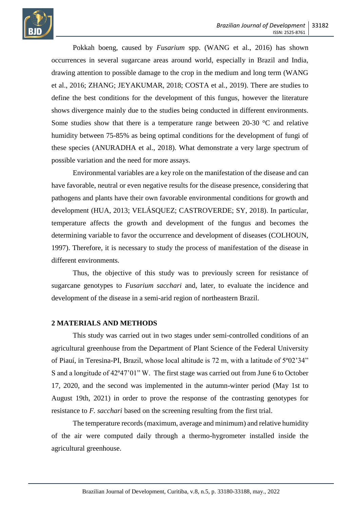

Pokkah boeng, caused by *Fusarium* spp. (WANG et al., 2016) has shown occurrences in several sugarcane areas around world, especially in Brazil and India, drawing attention to possible damage to the crop in the medium and long term (WANG et al., 2016; ZHANG; JEYAKUMAR, 2018; COSTA et al., 2019). There are studies to define the best conditions for the development of this fungus, however the literature shows divergence mainly due to the studies being conducted in different environments. Some studies show that there is a temperature range between 20-30 °C and relative humidity between 75-85% as being optimal conditions for the development of fungi of these species (ANURADHA et al., 2018). What demonstrate a very large spectrum of possible variation and the need for more assays.

Environmental variables are a key role on the manifestation of the disease and can have favorable, neutral or even negative results for the disease presence, considering that pathogens and plants have their own favorable environmental conditions for growth and development (HUA, 2013; VELÁSQUEZ; CASTROVERDE; SY, 2018). In particular, temperature affects the growth and development of the fungus and becomes the determining variable to favor the occurrence and development of diseases (COLHOUN, 1997). Therefore, it is necessary to study the process of manifestation of the disease in different environments.

Thus, the objective of this study was to previously screen for resistance of sugarcane genotypes to *Fusarium sacchari* and, later, to evaluate the incidence and development of the disease in a semi-arid region of northeastern Brazil.

### **2 MATERIALS AND METHODS**

This study was carried out in two stages under semi-controlled conditions of an agricultural greenhouse from the Department of Plant Science of the Federal University of Piauí, in Teresina-PI, Brazil, whose local altitude is 72 m, with a latitude of 5º02'34" S and a longitude of 42º47'01" W. The first stage was carried out from June 6 to October 17, 2020, and the second was implemented in the autumn-winter period (May 1st to August 19th, 2021) in order to prove the response of the contrasting genotypes for resistance to *F. sacchari* based on the screening resulting from the first trial.

The temperature records (maximum, average and minimum) and relative humidity of the air were computed daily through a thermo-hygrometer installed inside the agricultural greenhouse.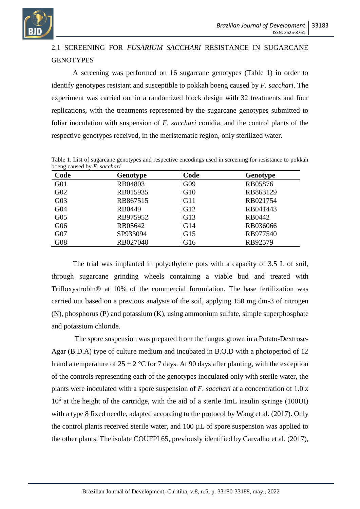

# 2.1 SCREENING FOR *FUSARIUM SACCHARI* RESISTANCE IN SUGARCANE **GENOTYPES**

A screening was performed on 16 sugarcane genotypes (Table 1) in order to identify genotypes resistant and susceptible to pokkah boeng caused by *F. sacchari*. The experiment was carried out in a randomized block design with 32 treatments and four replications, with the treatments represented by the sugarcane genotypes submitted to foliar inoculation with suspension of *F. sacchari* conidia, and the control plants of the respective genotypes received, in the meristematic region, only sterilized water.

| Code            | Genotype | Code | Genotype |
|-----------------|----------|------|----------|
| G <sub>01</sub> | RB04803  | G09  | RB05876  |
| G <sub>02</sub> | RB015935 | G10  | RB863129 |
| G <sub>03</sub> | RB867515 | G11  | RB021754 |
| G <sub>04</sub> | RB0449   | G12  | RB041443 |
| G <sub>05</sub> | RB975952 | G13  | RB0442   |
| G06             | RB05642  | G14  | RB036066 |
| G07             | SP933094 | G15  | RB977540 |
| G08             | RB027040 | G16  | RB92579  |

Table 1. List of sugarcane genotypes and respective encodings used in screening for resistance to pokkah boeng caused by *F. sacchari*

The trial was implanted in polyethylene pots with a capacity of 3.5 L of soil, through sugarcane grinding wheels containing a viable bud and treated with Trifloxystrobin® at 10% of the commercial formulation. The base fertilization was carried out based on a previous analysis of the soil, applying 150 mg dm-3 of nitrogen (N), phosphorus (P) and potassium (K), using ammonium sulfate, simple superphosphate and potassium chloride.

The spore suspension was prepared from the fungus grown in a Potato-Dextrose-Agar (B.D.A) type of culture medium and incubated in B.O.D with a photoperiod of 12 h and a temperature of  $25 \pm 2$  °C for 7 days. At 90 days after planting, with the exception of the controls representing each of the genotypes inoculated only with sterile water, the plants were inoculated with a spore suspension of *F. sacchari* at a concentration of 1.0 x 10<sup>6</sup> at the height of the cartridge, with the aid of a sterile 1mL insulin syringe (100UI) with a type 8 fixed needle, adapted according to the protocol by Wang et al. (2017). Only the control plants received sterile water, and 100 µL of spore suspension was applied to the other plants. The isolate COUFPI 65, previously identified by Carvalho et al. (2017),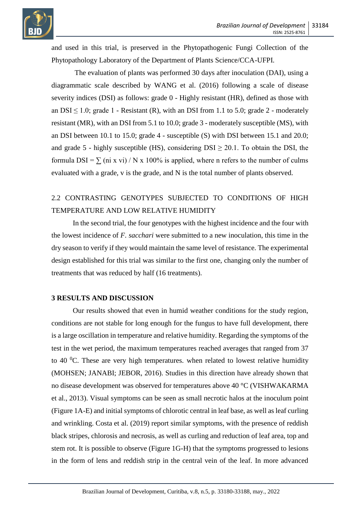

and used in this trial, is preserved in the Phytopathogenic Fungi Collection of the Phytopathology Laboratory of the Department of Plants Science/CCA-UFPI.

The evaluation of plants was performed 30 days after inoculation (DAI), using a diagrammatic scale described by WANG et al. (2016) following a scale of disease severity indices (DSI) as follows: grade 0 - Highly resistant (HR), defined as those with an  $DSI < 1.0$ ; grade 1 - Resistant (R), with an DSI from 1.1 to 5.0; grade 2 - moderately resistant (MR), with an DSI from 5.1 to 10.0; grade 3 - moderately susceptible (MS), with an DSI between 10.1 to 15.0; grade 4 - susceptible (S) with DSI between 15.1 and 20.0; and grade 5 - highly susceptible (HS), considering  $DSI \geq 20.1$ . To obtain the DSI, the formula  $DSI = \sum (ni x vi) / N x 100\%$  is applied, where n refers to the number of culms evaluated with a grade, v is the grade, and N is the total number of plants observed.

# 2.2 CONTRASTING GENOTYPES SUBJECTED TO CONDITIONS OF HIGH TEMPERATURE AND LOW RELATIVE HUMIDITY

In the second trial, the four genotypes with the highest incidence and the four with the lowest incidence of *F. sacchari* were submitted to a new inoculation, this time in the dry season to verify if they would maintain the same level of resistance. The experimental design established for this trial was similar to the first one, changing only the number of treatments that was reduced by half (16 treatments).

### **3 RESULTS AND DISCUSSION**

Our results showed that even in humid weather conditions for the study region, conditions are not stable for long enough for the fungus to have full development, there is a large oscillation in temperature and relative humidity. Regarding the symptoms of the test in the wet period, the maximum temperatures reached averages that ranged from 37 to 40  $^{0}$ C. These are very high temperatures, when related to lowest relative humidity (MOHSEN; JANABI; JEBOR, 2016). Studies in this direction have already shown that no disease development was observed for temperatures above 40 °C (VISHWAKARMA et al., 2013). Visual symptoms can be seen as small necrotic halos at the inoculum point (Figure 1A-E) and initial symptoms of chlorotic central in leaf base, as well as leaf curling and wrinkling. Costa et al. (2019) report similar symptoms, with the presence of reddish black stripes, chlorosis and necrosis, as well as curling and reduction of leaf area, top and stem rot. It is possible to observe (Figure 1G-H) that the symptoms progressed to lesions in the form of lens and reddish strip in the central vein of the leaf. In more advanced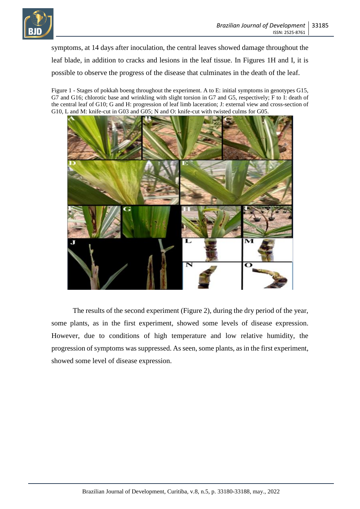

symptoms, at 14 days after inoculation, the central leaves showed damage throughout the leaf blade, in addition to cracks and lesions in the leaf tissue. In Figures 1H and I, it is possible to observe the progress of the disease that culminates in the death of the leaf.

Figure 1 - Stages of pokkah boeng throughout the experiment. A to E: initial symptoms in genotypes G15, G7 and G16; chlorotic base and wrinkling with slight torsion in G7 and G5, respectively; F to I: death of the central leaf of G10; G and H: progression of leaf limb laceration; J: external view and cross-section of G10, L and M: knife-cut in G03 and G05; N and O: knife-cut with twisted culms for G05.



The results of the second experiment (Figure 2), during the dry period of the year, some plants, as in the first experiment, showed some levels of disease expression. However, due to conditions of high temperature and low relative humidity, the progression of symptoms was suppressed. As seen, some plants, as in the first experiment, showed some level of disease expression.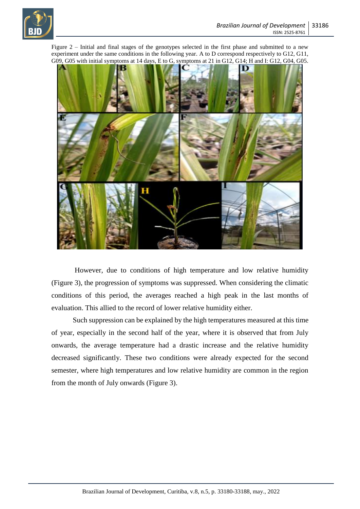

Figure 2 – Initial and final stages of the genotypes selected in the first phase and submitted to a new experiment under the same conditions in the following year. A to D correspond respectively to G12, G11, G09, G05 with initial symptoms at 14 days, E to G, symptoms at 21 in G12, G14; H and I: G12, G04, G05.



However, due to conditions of high temperature and low relative humidity (Figure 3), the progression of symptoms was suppressed. When considering the climatic conditions of this period, the averages reached a high peak in the last months of evaluation. This allied to the record of lower relative humidity either.

Such suppression can be explained by the high temperatures measured at this time of year, especially in the second half of the year, where it is observed that from July onwards, the average temperature had a drastic increase and the relative humidity decreased significantly. These two conditions were already expected for the second semester, where high temperatures and low relative humidity are common in the region from the month of July onwards (Figure 3).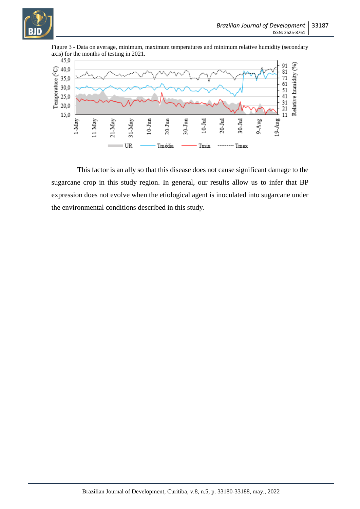



Figure 3 - Data on average, minimum, maximum temperatures and minimum relative humidity (secondary

This factor is an ally so that this disease does not cause significant damage to the sugarcane crop in this study region. In general, our results allow us to infer that BP expression does not evolve when the etiological agent is inoculated into sugarcane under the environmental conditions described in this study.